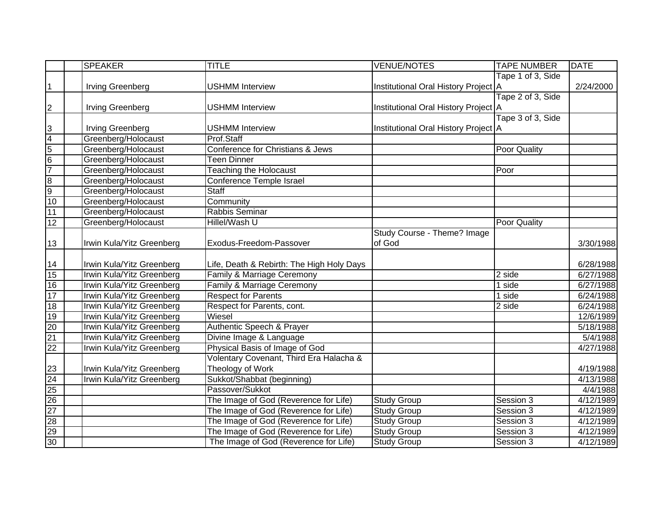|                         | <b>SPEAKER</b>            | <b>TITLE</b>                              | <b>VENUE/NOTES</b>                   | <b>TAPE NUMBER</b>  | <b>DATE</b> |
|-------------------------|---------------------------|-------------------------------------------|--------------------------------------|---------------------|-------------|
|                         |                           |                                           |                                      | Tape 1 of 3, Side   |             |
| $\mathbf{1}$            | Irving Greenberg          | <b>USHMM Interview</b>                    | Institutional Oral History Project A |                     | 2/24/2000   |
|                         |                           |                                           |                                      | Tape 2 of 3, Side   |             |
| $\overline{2}$          | <b>Irving Greenberg</b>   | <b>USHMM Interview</b>                    | Institutional Oral History Project A |                     |             |
|                         |                           |                                           |                                      | Tape 3 of 3, Side   |             |
| 3                       | Irving Greenberg          | <b>USHMM Interview</b>                    | Institutional Oral History Project A |                     |             |
| $\overline{4}$          | Greenberg/Holocaust       | Prof.Staff                                |                                      |                     |             |
| $\overline{5}$          | Greenberg/Holocaust       | Conference for Christians & Jews          |                                      | <b>Poor Quality</b> |             |
| $6\overline{6}$         | Greenberg/Holocaust       | <b>Teen Dinner</b>                        |                                      |                     |             |
| 7                       | Greenberg/Holocaust       | <b>Teaching the Holocaust</b>             |                                      | Poor                |             |
| $\overline{\mathbf{8}}$ | Greenberg/Holocaust       | <b>Conference Temple Israel</b>           |                                      |                     |             |
| 9                       | Greenberg/Holocaust       | <b>Staff</b>                              |                                      |                     |             |
| 10                      | Greenberg/Holocaust       | Community                                 |                                      |                     |             |
| 11                      | Greenberg/Holocaust       | Rabbis Seminar                            |                                      |                     |             |
| 12                      | Greenberg/Holocaust       | Hillel/Wash U                             |                                      | <b>Poor Quality</b> |             |
|                         |                           |                                           | Study Course - Theme? Image          |                     |             |
| 13                      | Irwin Kula/Yitz Greenberg | Exodus-Freedom-Passover                   | of God                               |                     | 3/30/1988   |
|                         |                           |                                           |                                      |                     |             |
| 14                      | Irwin Kula/Yitz Greenberg | Life, Death & Rebirth: The High Holy Days |                                      |                     | 6/28/1988   |
| 15                      | Irwin Kula/Yitz Greenberg | Family & Marriage Ceremony                |                                      | $\overline{2}$ side | 6/27/1988   |
| 16                      | Irwin Kula/Yitz Greenberg | Family & Marriage Ceremony                |                                      | 1 side              | 6/27/1988   |
| 17                      | Irwin Kula/Yitz Greenberg | <b>Respect for Parents</b>                |                                      | 1 side              | 6/24/1988   |
| 18                      | Irwin Kula/Yitz Greenberg | Respect for Parents, cont.                |                                      | 2 side              | 6/24/1988   |
| 19                      | Irwin Kula/Yitz Greenberg | Wiesel                                    |                                      |                     | 12/6/1989   |
| $\overline{20}$         | Irwin Kula/Yitz Greenberg | Authentic Speech & Prayer                 |                                      |                     | 5/18/1988   |
| 21                      | Irwin Kula/Yitz Greenberg | Divine Image & Language                   |                                      |                     | 5/4/1988    |
| $\overline{22}$         | Irwin Kula/Yitz Greenberg | Physical Basis of Image of God            |                                      |                     | 4/27/1988   |
|                         |                           | Volentary Covenant, Third Era Halacha &   |                                      |                     |             |
| 23                      | Irwin Kula/Yitz Greenberg | Theology of Work                          |                                      |                     | 4/19/1988   |
| 24                      | Irwin Kula/Yitz Greenberg | Sukkot/Shabbat (beginning)                |                                      |                     | 4/13/1988   |
| 25                      |                           | Passover/Sukkot                           |                                      |                     | 4/4/1988    |
| 26                      |                           | The Image of God (Reverence for Life)     | <b>Study Group</b>                   | Session 3           | 4/12/1989   |
| $\overline{27}$         |                           | The Image of God (Reverence for Life)     | <b>Study Group</b>                   | Session 3           | 4/12/1989   |
| 28                      |                           | The Image of God (Reverence for Life)     | <b>Study Group</b>                   | Session 3           | 4/12/1989   |
| 29                      |                           | The Image of God (Reverence for Life)     | <b>Study Group</b>                   | Session 3           | 4/12/1989   |
| 30                      |                           | The Image of God (Reverence for Life)     | <b>Study Group</b>                   | Session 3           | 4/12/1989   |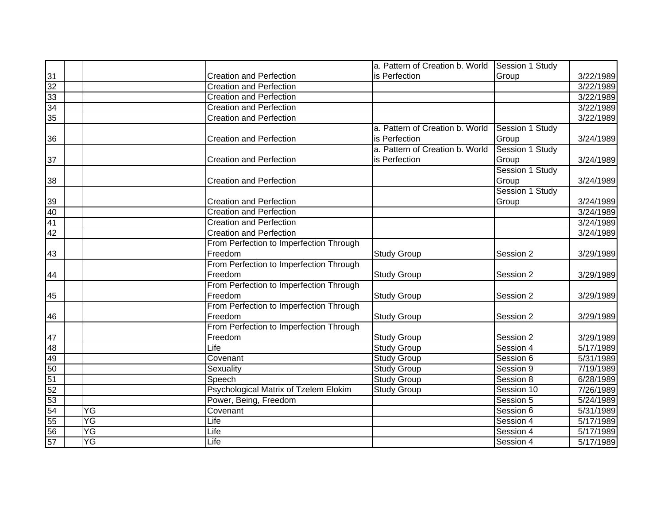|                 |                 |                                         | a. Pattern of Creation b. World | Session 1 Study |           |
|-----------------|-----------------|-----------------------------------------|---------------------------------|-----------------|-----------|
| 31              |                 | <b>Creation and Perfection</b>          | is Perfection                   | Group           | 3/22/1989 |
| 32              |                 | <b>Creation and Perfection</b>          |                                 |                 | 3/22/1989 |
| $\overline{33}$ |                 | <b>Creation and Perfection</b>          |                                 |                 | 3/22/1989 |
| $\overline{34}$ |                 | <b>Creation and Perfection</b>          |                                 |                 | 3/22/1989 |
| 35              |                 | <b>Creation and Perfection</b>          |                                 |                 | 3/22/1989 |
|                 |                 |                                         | a. Pattern of Creation b. World | Session 1 Study |           |
| 36              |                 | <b>Creation and Perfection</b>          | is Perfection                   | Group           | 3/24/1989 |
|                 |                 |                                         | a. Pattern of Creation b. World | Session 1 Study |           |
| 37              |                 | <b>Creation and Perfection</b>          | is Perfection                   | Group           | 3/24/1989 |
|                 |                 |                                         |                                 | Session 1 Study |           |
| 38              |                 | <b>Creation and Perfection</b>          |                                 | Group           | 3/24/1989 |
|                 |                 |                                         |                                 | Session 1 Study |           |
| 39              |                 | <b>Creation and Perfection</b>          |                                 | Group           | 3/24/1989 |
| 40              |                 | <b>Creation and Perfection</b>          |                                 |                 | 3/24/1989 |
| 41              |                 | <b>Creation and Perfection</b>          |                                 |                 | 3/24/1989 |
| 42              |                 | <b>Creation and Perfection</b>          |                                 |                 | 3/24/1989 |
|                 |                 | From Perfection to Imperfection Through |                                 |                 |           |
| 43              |                 | Freedom                                 | <b>Study Group</b>              | Session 2       | 3/29/1989 |
|                 |                 | From Perfection to Imperfection Through |                                 |                 |           |
| 44              |                 | Freedom                                 | <b>Study Group</b>              | Session 2       | 3/29/1989 |
|                 |                 | From Perfection to Imperfection Through |                                 |                 |           |
| 45              |                 | Freedom                                 | <b>Study Group</b>              | Session 2       | 3/29/1989 |
|                 |                 | From Perfection to Imperfection Through |                                 |                 |           |
| 46              |                 | Freedom                                 | <b>Study Group</b>              | Session 2       | 3/29/1989 |
|                 |                 | From Perfection to Imperfection Through |                                 |                 |           |
| 47              |                 | Freedom                                 | <b>Study Group</b>              | Session 2       | 3/29/1989 |
| 48              |                 | Life                                    | <b>Study Group</b>              | Session 4       | 5/17/1989 |
| 49              |                 | Covenant                                | <b>Study Group</b>              | Session 6       | 5/31/1989 |
| 50              |                 | Sexuality                               | <b>Study Group</b>              | Session 9       | 7/19/1989 |
| 51              |                 | Speech                                  | <b>Study Group</b>              | Session 8       | 6/28/1989 |
| 52              |                 | Psychological Matrix of Tzelem Elokim   | <b>Study Group</b>              | Session 10      | 7/26/1989 |
| 53              |                 | Power, Being, Freedom                   |                                 | Session 5       | 5/24/1989 |
| 54              | YG              | Covenant                                |                                 | Session 6       | 5/31/1989 |
| 55              | $\overline{YG}$ | Life                                    |                                 | Session 4       | 5/17/1989 |
| 56              | YG              | Life                                    |                                 | Session 4       | 5/17/1989 |
| 57              | YG              | Life                                    |                                 | Session 4       | 5/17/1989 |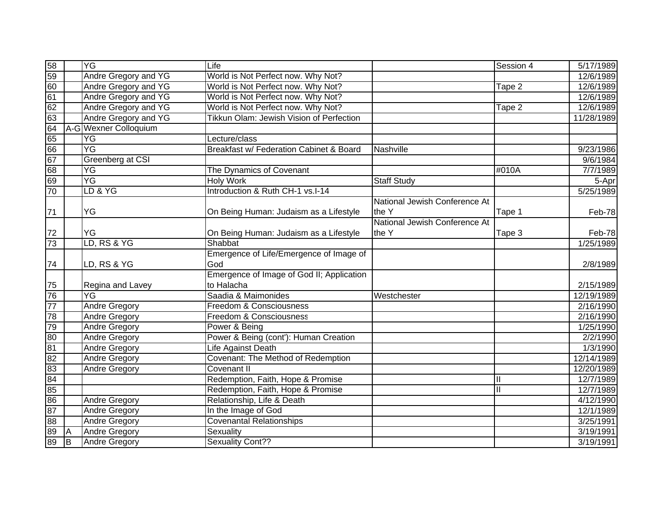| 58              |   | YG                    | Life                                               |                               | Session 4 | 5/17/1989           |
|-----------------|---|-----------------------|----------------------------------------------------|-------------------------------|-----------|---------------------|
| $\overline{59}$ |   | Andre Gregory and YG  | World is Not Perfect now. Why Not?                 |                               |           | 12/6/1989           |
| 60              |   | Andre Gregory and YG  | World is Not Perfect now. Why Not?                 |                               | Tape 2    | 12/6/1989           |
| 61              |   | Andre Gregory and YG  | World is Not Perfect now. Why Not?                 |                               |           | 12/6/1989           |
| 62              |   | Andre Gregory and YG  | World is Not Perfect now. Why Not?                 |                               | Tape 2    | 12/6/1989           |
| 63              |   | Andre Gregory and YG  | Tikkun Olam: Jewish Vision of Perfection           |                               |           | 11/28/1989          |
| 64              |   | A-G Wexner Colloquium |                                                    |                               |           |                     |
| 65              |   | YG                    | Lecture/class                                      |                               |           |                     |
| 66              |   | YG                    | <b>Breakfast w/ Federation Cabinet &amp; Board</b> | Nashville                     |           | 9/23/1986           |
| 67              |   | Greenberg at CSI      |                                                    |                               |           | 9/6/1984            |
| 68              |   | ΥG                    | The Dynamics of Covenant                           |                               | #010A     | 7/7/1989            |
| 69              |   | ΥG                    | <b>Holy Work</b>                                   | <b>Staff Study</b>            |           | $\overline{5}$ -Apr |
| 70              |   | LD & YG               | Introduction & Ruth CH-1 vs.I-14                   |                               |           | 5/25/1989           |
|                 |   |                       |                                                    | National Jewish Conference At |           |                     |
| 71              |   | YG                    | On Being Human: Judaism as a Lifestyle             | the Y                         | Tape 1    | Feb-78              |
|                 |   |                       |                                                    | National Jewish Conference At |           |                     |
| $72\,$          |   | YG                    | On Being Human: Judaism as a Lifestyle             | the Y                         | Tape 3    | Feb-78              |
| 73              |   | LD, RS & YG           | Shabbat                                            |                               |           | 1/25/1989           |
|                 |   |                       | Emergence of Life/Emergence of Image of            |                               |           |                     |
| 74              |   | LD, RS & YG           | God                                                |                               |           | 2/8/1989            |
|                 |   |                       | Emergence of Image of God II; Application          |                               |           |                     |
| 75              |   | Regina and Lavey      | to Halacha                                         |                               |           | 2/15/1989           |
| 76              |   | YG                    | Saadia & Maimonides                                | Westchester                   |           | 12/19/1989          |
| 77              |   | <b>Andre Gregory</b>  | Freedom & Consciousness                            |                               |           | 2/16/1990           |
| 78              |   | Andre Gregory         | Freedom & Consciousness                            |                               |           | 2/16/1990           |
| 79              |   | <b>Andre Gregory</b>  | Power & Being                                      |                               |           | 1/25/1990           |
| 80              |   | <b>Andre Gregory</b>  | Power & Being (cont'): Human Creation              |                               |           | 2/2/1990            |
| 81              |   | Andre Gregory         | Life Against Death                                 |                               |           | 1/3/1990            |
| 82              |   | <b>Andre Gregory</b>  | Covenant: The Method of Redemption                 |                               |           | 12/14/1989          |
| 83              |   | <b>Andre Gregory</b>  | Covenant II                                        |                               |           | 12/20/1989          |
| 84              |   |                       | Redemption, Faith, Hope & Promise                  |                               |           | 12/7/1989           |
| 85              |   |                       | Redemption, Faith, Hope & Promise                  |                               |           | 12/7/1989           |
| $\overline{86}$ |   | <b>Andre Gregory</b>  | Relationship, Life & Death                         |                               |           | 4/12/1990           |
| 87              |   | <b>Andre Gregory</b>  | In the Image of God                                |                               |           | 12/1/1989           |
| $\overline{88}$ |   | <b>Andre Gregory</b>  | <b>Covenantal Relationships</b>                    |                               |           | 3/25/1991           |
| 89              | A | <b>Andre Gregory</b>  | Sexuality                                          |                               |           | 3/19/1991           |
| 89              | B | <b>Andre Gregory</b>  | <b>Sexuality Cont??</b>                            |                               |           | 3/19/1991           |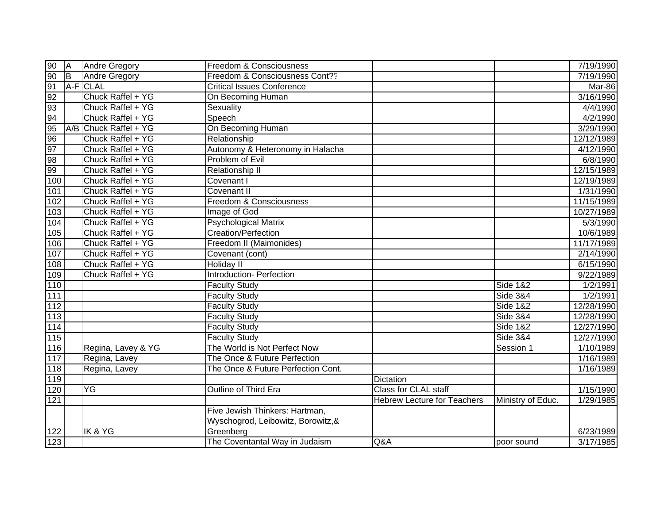| 90    | <b>JA</b>      | <b>Andre Gregory</b>  | <b>Freedom &amp; Consciousness</b> |                                    |                              | 7/19/1990  |
|-------|----------------|-----------------------|------------------------------------|------------------------------------|------------------------------|------------|
| 90    | $\overline{B}$ | <b>Andre Gregory</b>  | Freedom & Consciousness Cont??     |                                    |                              | 7/19/1990  |
| 91    |                | A-F CLAL              | <b>Critical Issues Conference</b>  |                                    |                              | Mar-86     |
| 92    |                | Chuck Raffel + YG     | On Becoming Human                  |                                    |                              | 3/16/1990  |
| 93    |                | Chuck Raffel + YG     | Sexuality                          |                                    |                              | 4/4/1990   |
| 94    |                | Chuck Raffel + YG     | Speech                             |                                    |                              | 4/2/1990   |
| 95    |                | A/B Chuck Raffel + YG | On Becoming Human                  |                                    |                              | 3/29/1990  |
| 96    |                | Chuck Raffel + YG     | Relationship                       |                                    |                              | 12/12/1989 |
| 97    |                | Chuck Raffel + YG     | Autonomy & Heteronomy in Halacha   |                                    |                              | 4/12/1990  |
| 98    |                | Chuck Raffel + YG     | Problem of Evil                    |                                    |                              | 6/8/1990   |
| 99    |                | Chuck Raffel + YG     | <b>Relationship II</b>             |                                    |                              | 12/15/1989 |
| 100   |                | Chuck Raffel + YG     | Covenant I                         |                                    |                              | 12/19/1989 |
| 101   |                | Chuck Raffel + YG     | Covenant II                        |                                    |                              | 1/31/1990  |
| 102   |                | Chuck Raffel + YG     | Freedom & Consciousness            |                                    |                              | 11/15/1989 |
| 103   |                | Chuck Raffel + YG     | Image of God                       |                                    |                              | 10/27/1989 |
| 104   |                | Chuck Raffel + YG     | <b>Psychological Matrix</b>        |                                    |                              | 5/3/1990   |
| 105   |                | Chuck Raffel + YG     | <b>Creation/Perfection</b>         |                                    |                              | 10/6/1989  |
| 106   |                | Chuck Raffel + YG     | Freedom II (Maimonides)            |                                    |                              | 11/17/1989 |
| 107   |                | Chuck Raffel + YG     | Covenant (cont)                    |                                    |                              | 2/14/1990  |
| 108   |                | Chuck Raffel + YG     | Holiday II                         |                                    |                              | 6/15/1990  |
| 109   |                | Chuck Raffel + YG     | Introduction- Perfection           |                                    |                              | 9/22/1989  |
| 110   |                |                       | <b>Faculty Study</b>               |                                    | <b>Side 1&amp;2</b>          | 1/2/1991   |
| 111   |                |                       | <b>Faculty Study</b>               |                                    | <b>Side 3&amp;4</b>          | 1/2/1991   |
| $112$ |                |                       | <b>Faculty Study</b>               |                                    | <b>Side 1&amp;2</b>          | 12/28/1990 |
| $113$ |                |                       | <b>Faculty Study</b>               |                                    | $\overline{\text{Side}}$ 3&4 | 12/28/1990 |
| $114$ |                |                       | <b>Faculty Study</b>               |                                    | <b>Side 1&amp;2</b>          | 12/27/1990 |
| 115   |                |                       | <b>Faculty Study</b>               |                                    | <b>Side 3&amp;4</b>          | 12/27/1990 |
| 116   |                | Regina, Lavey & YG    | The World is Not Perfect Now       |                                    | Session 1                    | 1/10/1989  |
| 117   |                | Regina, Lavey         | The Once & Future Perfection       |                                    |                              | 1/16/1989  |
| 118   |                | Regina, Lavey         | The Once & Future Perfection Cont. |                                    |                              | 1/16/1989  |
| 119   |                |                       |                                    | Dictation                          |                              |            |
| 120   |                | YG                    | Outline of Third Era               | Class for CLAL staff               |                              | 1/15/1990  |
| 121   |                |                       |                                    | <b>Hebrew Lecture for Teachers</b> | Ministry of Educ.            | 1/29/1985  |
|       |                |                       | Five Jewish Thinkers: Hartman,     |                                    |                              |            |
|       |                |                       | Wyschogrod, Leibowitz, Borowitz, & |                                    |                              |            |
| 122   |                | IK & YG               | Greenberg                          |                                    |                              | 6/23/1989  |
| 123   |                |                       | The Coventantal Way in Judaism     | Q&A                                | poor sound                   | 3/17/1985  |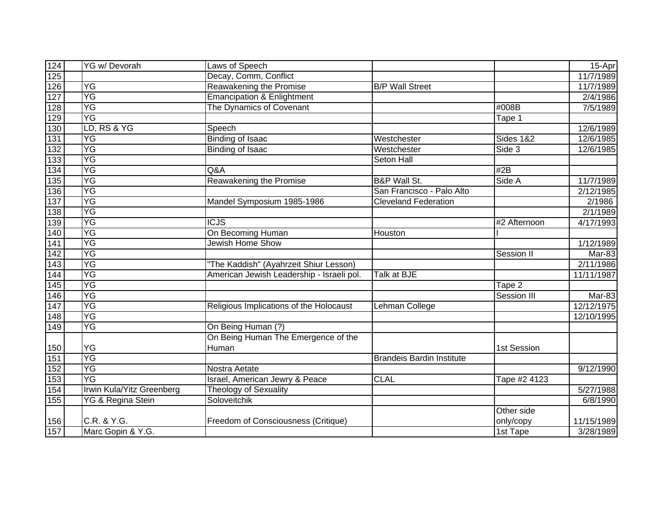| 124              | <b>YG w/ Devorah</b>      | Laws of Speech                            |                                  |                    | 15-Apr     |
|------------------|---------------------------|-------------------------------------------|----------------------------------|--------------------|------------|
| 125              |                           | Decay, Comm, Conflict                     |                                  |                    | 11/7/1989  |
| 126              | YG                        | Reawakening the Promise                   | <b>B/P Wall Street</b>           |                    | 11/7/1989  |
| 127              | YG                        | <b>Emancipation &amp; Enlightment</b>     |                                  |                    | 2/4/1986   |
| 128              | YG                        | The Dynamics of Covenant                  |                                  | #008B              | 7/5/1989   |
| 129              | <b>YG</b>                 |                                           |                                  | Tape 1             |            |
| 130              | LD, RS & YG               | Speech                                    |                                  |                    | 12/6/1989  |
| 131              | YG                        | <b>Binding of Isaac</b>                   | Westchester                      | Sides 1&2          | 12/6/1985  |
| 132              | YG                        | <b>Binding of Isaac</b>                   | Westchester                      | Side 3             | 12/6/1985  |
| 133              | YG                        |                                           | Seton Hall                       |                    |            |
| 134              | ΥG                        | Q&A                                       |                                  | #2B                |            |
| 135              | YG                        | Reawakening the Promise                   | <b>B&amp;P Wall St.</b>          | Side A             | 11/7/1989  |
| 136              | ΥG                        |                                           | San Francisco - Palo Alto        |                    | 2/12/1985  |
| $\overline{137}$ | YG                        | Mandel Symposium 1985-1986                | <b>Cleveland Federation</b>      |                    | 2/1986     |
| 138              | YG                        |                                           |                                  |                    | 2/1/1989   |
| 139              | YG                        | <b>ICJS</b>                               |                                  | #2 Afternoon       | 4/17/1993  |
| 140              | YG                        | On Becoming Human                         | Houston                          |                    |            |
| 141              | ΥG                        | <b>Jewish Home Show</b>                   |                                  |                    | 1/12/1989  |
| 142              | YG                        |                                           |                                  | Session II         | Mar-83     |
| $\overline{143}$ | YG                        | 'The Kaddish" (Ayahrzeit Shiur Lesson)    |                                  |                    | 2/11/1986  |
| 144              | YG                        | American Jewish Leadership - Israeli pol. | Talk at BJE                      |                    | 11/11/1987 |
| $145$            | YG                        |                                           |                                  | Tape 2             |            |
| 146              | YG                        |                                           |                                  | <b>Session III</b> | Mar-83     |
| $147$            | YG                        | Religious Implications of the Holocaust   | Lehman College                   |                    | 12/12/1975 |
| 148              | YG                        |                                           |                                  |                    | 12/10/1995 |
| 149              | ΥG                        | On Being Human (?)                        |                                  |                    |            |
|                  |                           | On Being Human The Emergence of the       |                                  |                    |            |
| 150              | YG                        | Human                                     |                                  | 1st Session        |            |
| 151              | YG                        |                                           | <b>Brandeis Bardin Institute</b> |                    |            |
| 152              | YG                        | Nostra Aetate                             |                                  |                    | 9/12/1990  |
| 153              | $\overline{YG}$           | Israel, American Jewry & Peace            | <b>CLAL</b>                      | Tape #2 4123       |            |
| 154              | Irwin Kula/Yitz Greenberg | Theology of Sexuality                     |                                  |                    | 5/27/1988  |
| 155              | YG & Regina Stein         | Soloveitchik                              |                                  |                    | 6/8/1990   |
|                  |                           |                                           |                                  | Other side         |            |
| 156              | C.R. & Y.G.               | Freedom of Consciousness (Critique)       |                                  | only/copy          | 11/15/1989 |
| 157              | Marc Gopin & Y.G.         |                                           |                                  | 1st Tape           | 3/28/1989  |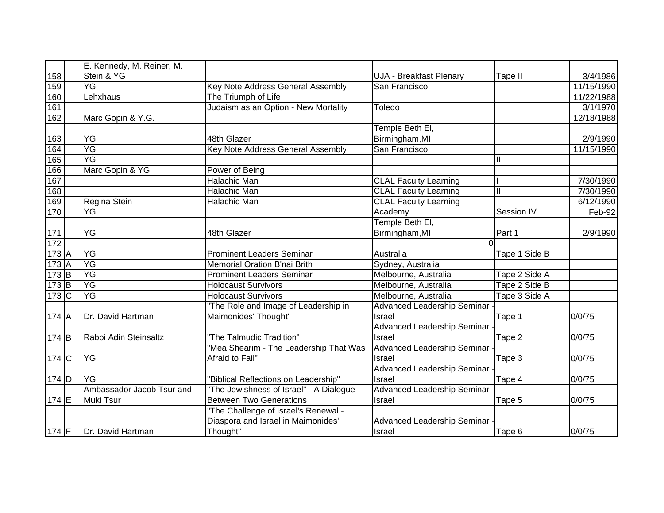|         | E. Kennedy, M. Reiner, M. |                                         |                                    |               |            |
|---------|---------------------------|-----------------------------------------|------------------------------------|---------------|------------|
| 158     | Stein & YG                |                                         | UJA - Breakfast Plenary            | Tape II       | 3/4/1986   |
| 159     | YG                        | Key Note Address General Assembly       | San Francisco                      |               | 11/15/1990 |
| 160     | Lehxhaus                  | The Triumph of Life                     |                                    |               | 11/22/1988 |
| 161     |                           | Judaism as an Option - New Mortality    | Toledo                             |               | 3/1/1970   |
| 162     | Marc Gopin & Y.G.         |                                         |                                    |               | 12/18/1988 |
|         |                           |                                         | Temple Beth El,                    |               |            |
| 163     | YG                        | 48th Glazer                             | Birmingham, MI                     |               | 2/9/1990   |
| 164     | YG                        | Key Note Address General Assembly       | San Francisco                      |               | 11/15/1990 |
| 165     | YG                        |                                         |                                    |               |            |
| 166     | Marc Gopin & YG           | Power of Being                          |                                    |               |            |
| 167     |                           | <b>Halachic Man</b>                     | <b>CLAL Faculty Learning</b>       |               | 7/30/1990  |
| 168     |                           | Halachic Man                            | <b>CLAL Faculty Learning</b>       |               | 7/30/1990  |
| 169     | Regina Stein              | Halachic Man                            | <b>CLAL Faculty Learning</b>       |               | 6/12/1990  |
| 170     | YG                        |                                         | Academy                            | Session IV    | Feb-92     |
|         |                           |                                         | Temple Beth El,                    |               |            |
| 171     | <b>YG</b>                 | 48th Glazer                             | Birmingham, MI                     | Part 1        | 2/9/1990   |
| 172     |                           |                                         | 0                                  |               |            |
| 173A    | YG                        | <b>Prominent Leaders Seminar</b>        | Australia                          | Tape 1 Side B |            |
| 173A    | <b>YG</b>                 | <b>Memorial Oration B'nai Brith</b>     | Sydney, Australia                  |               |            |
| $173$ B | YG                        | <b>Prominent Leaders Seminar</b>        | Melbourne, Australia               | Tape 2 Side A |            |
| $173$ B | $\overline{YG}$           | <b>Holocaust Survivors</b>              | Melbourne, Australia               | Tape 2 Side B |            |
| $173$ C | YG                        | <b>Holocaust Survivors</b>              | Melbourne, Australia               | Tape 3 Side A |            |
|         |                           | "The Role and Image of Leadership in    | <b>Advanced Leadership Seminar</b> |               |            |
| 174 A   | Dr. David Hartman         | Maimonides' Thought"                    | Israel                             | Tape 1        | 0/0/75     |
|         |                           |                                         | <b>Advanced Leadership Seminar</b> |               |            |
| 174 B   | Rabbi Adin Steinsaltz     | "The Talmudic Tradition"                | Israel                             | Tape 2        | 0/0/75     |
|         |                           | "Mea Shearim - The Leadership That Was  | Advanced Leadership Seminar        |               |            |
| 174 C   | <b>YG</b>                 | Afraid to Fail"                         | Israel                             | Tape 3        | 0/0/75     |
|         |                           |                                         | <b>Advanced Leadership Seminar</b> |               |            |
| $174$ D | <b>YG</b>                 | 'Biblical Reflections on Leadership"    | Israel                             | Tape 4        | 0/0/75     |
|         | Ambassador Jacob Tsur and | "The Jewishness of Israel" - A Dialogue | Advanced Leadership Seminar        |               |            |
| $174$ E | <b>Muki Tsur</b>          | <b>Between Two Generations</b>          | Israel                             | Tape 5        | 0/0/75     |
|         |                           | "The Challenge of Israel's Renewal -    |                                    |               |            |
|         |                           | Diaspora and Israel in Maimonides'      | Advanced Leadership Seminar        |               |            |
| 174 $F$ | Dr. David Hartman         | Thought"                                | Israel                             | Tape 6        | 0/0/75     |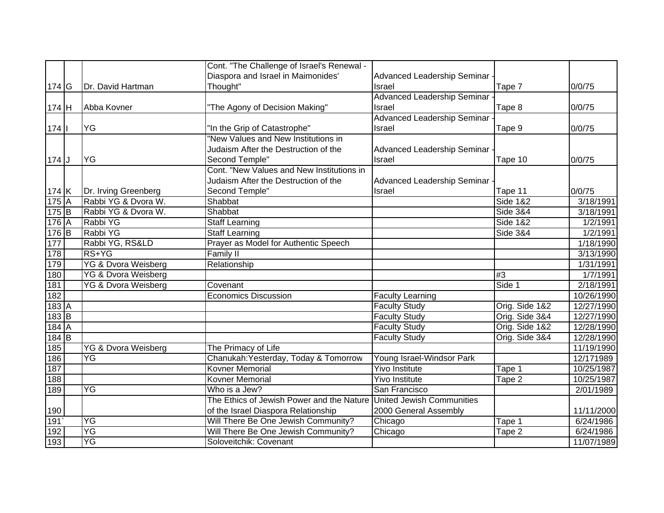|         |                                | Cont. "The Challenge of Israel's Renewal - |                                    |                     |            |
|---------|--------------------------------|--------------------------------------------|------------------------------------|---------------------|------------|
|         |                                | Diaspora and Israel in Maimonides'         | Advanced Leadership Seminar -      |                     |            |
| $174$ G | Dr. David Hartman              | Thought"                                   | Israel                             | Tape 7              | 0/0/75     |
|         |                                |                                            | Advanced Leadership Seminar        |                     |            |
| 174 H   | Abba Kovner                    | "The Agony of Decision Making"             | Israel                             | Tape 8              | 0/0/75     |
|         |                                |                                            | <b>Advanced Leadership Seminar</b> |                     |            |
| $174$   | <b>YG</b>                      | "In the Grip of Catastrophe"               | Israel                             | Tape 9              | 0/0/75     |
|         |                                | "New Values and New Institutions in        |                                    |                     |            |
|         |                                | Judaism After the Destruction of the       | Advanced Leadership Seminar        |                     |            |
| $174$ J | <b>YG</b>                      | Second Temple"                             | Israel                             | Tape 10             | 0/0/75     |
|         |                                | Cont. "New Values and New Institutions in  |                                    |                     |            |
|         |                                | Judaism After the Destruction of the       | Advanced Leadership Seminar        |                     |            |
| 174 K   | Dr. Irving Greenberg           | Second Temple"                             | Israel                             | Tape 11             | 0/0/75     |
| 175A    | Rabbi YG & Dvora W.            | Shabbat                                    |                                    | <b>Side 1&amp;2</b> | 3/18/1991  |
| 175B    | Rabbi YG & Dvora W.            | Shabbat                                    |                                    | <b>Side 3&amp;4</b> | 3/18/1991  |
| 176A    | Rabbi YG                       | <b>Staff Learning</b>                      |                                    | <b>Side 1&amp;2</b> | 1/2/1991   |
| $176$ B | Rabbi YG                       | <b>Staff Learning</b>                      |                                    | <b>Side 3&amp;4</b> | 1/2/1991   |
| 177     | Rabbi YG, RS&LD                | Prayer as Model for Authentic Speech       |                                    |                     | 1/18/1990  |
| 178     | RS+YG                          | <b>Family II</b>                           |                                    |                     | 3/13/1990  |
| 179     | YG & Dvora Weisberg            | Relationship                               |                                    |                     | 1/31/1991  |
| 180     | <b>YG &amp; Dvora Weisberg</b> |                                            |                                    | #3                  | 1/7/1991   |
| 181     | <b>YG &amp; Dvora Weisberg</b> | Covenant                                   |                                    | Side 1              | 2/18/1991  |
| 182     |                                | <b>Economics Discussion</b>                | <b>Faculty Learning</b>            |                     | 10/26/1990 |
| $183$ A |                                |                                            | <b>Faculty Study</b>               | Orig. Side 1&2      | 12/27/1990 |
| $183$ B |                                |                                            | <b>Faculty Study</b>               | Orig. Side 3&4      | 12/27/1990 |
| 184A    |                                |                                            | <b>Faculty Study</b>               | Orig. Side 1&2      | 12/28/1990 |
| $184$ B |                                |                                            | <b>Faculty Study</b>               | Orig. Side 3&4      | 12/28/1990 |
| 185     | <b>YG &amp; Dvora Weisberg</b> | The Primacy of Life                        |                                    |                     | 11/19/1990 |
| 186     | YG                             | Chanukah: Yesterday, Today & Tomorrow      | Young Israel-Windsor Park          |                     | 12/171989  |
| 187     |                                | <b>Kovner Memorial</b>                     | <b>Yivo Institute</b>              | Tape 1              | 10/25/1987 |
| 188     |                                | <b>Kovner Memorial</b>                     | <b>Yivo Institute</b>              | Tape 2              | 10/25/1987 |
| 189     | YG                             | Who is a Jew?                              | San Francisco                      |                     | 2/01/1989  |
|         |                                | The Ethics of Jewish Power and the Nature  | <b>United Jewish Communities</b>   |                     |            |
| 190     |                                | of the Israel Diaspora Relationship        | 2000 General Assembly              |                     | 11/11/2000 |
| 191     | YG                             | Will There Be One Jewish Community?        | Chicago                            | Tape 1              | 6/24/1986  |
| 192     | $\overline{YG}$                | Will There Be One Jewish Community?        | Chicago                            | Tape 2              | 6/24/1986  |
| 193     | YG                             | Soloveitchik: Covenant                     |                                    |                     | 11/07/1989 |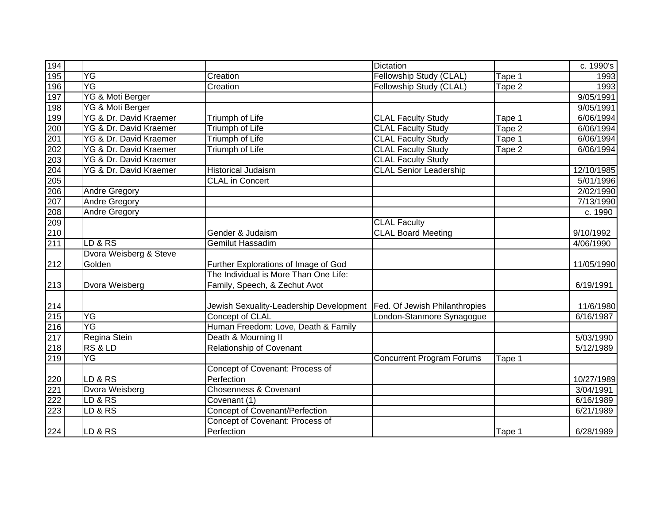| 194                                 |                        |                                         | <b>Dictation</b>                 |        | c. 1990's  |
|-------------------------------------|------------------------|-----------------------------------------|----------------------------------|--------|------------|
| 195                                 | YG                     | Creation                                | Fellowship Study (CLAL)          | Tape 1 | 1993       |
| 196                                 | YG                     | Creation                                | Fellowship Study (CLAL)          | Tape 2 | 1993       |
| 197                                 | YG & Moti Berger       |                                         |                                  |        | 9/05/1991  |
| 198                                 | YG & Moti Berger       |                                         |                                  |        | 9/05/1991  |
| 199                                 | YG & Dr. David Kraemer | <b>Triumph of Life</b>                  | <b>CLAL Faculty Study</b>        | Tape 1 | 6/06/1994  |
| 200                                 | YG & Dr. David Kraemer | <b>Triumph of Life</b>                  | <b>CLAL Faculty Study</b>        | Tape 2 | 6/06/1994  |
| 201                                 | YG & Dr. David Kraemer | <b>Triumph of Life</b>                  | <b>CLAL Faculty Study</b>        | Tape 1 | 6/06/1994  |
| $\frac{202}{203}$ $\frac{204}{205}$ | YG & Dr. David Kraemer | <b>Triumph of Life</b>                  | <b>CLAL Faculty Study</b>        | Tape 2 | 6/06/1994  |
|                                     | YG & Dr. David Kraemer |                                         | <b>CLAL Faculty Study</b>        |        |            |
|                                     | YG & Dr. David Kraemer | <b>Historical Judaism</b>               | <b>CLAL Senior Leadership</b>    |        | 12/10/1985 |
|                                     |                        | <b>CLAL</b> in Concert                  |                                  |        | 5/01/1996  |
| 206                                 | Andre Gregory          |                                         |                                  |        | 2/02/1990  |
| 207                                 | Andre Gregory          |                                         |                                  |        | 7/13/1990  |
| 208                                 | <b>Andre Gregory</b>   |                                         |                                  |        | c. 1990    |
| $\frac{209}{210}$                   |                        |                                         | <b>CLAL Faculty</b>              |        |            |
|                                     |                        | Gender & Judaism                        | <b>CLAL Board Meeting</b>        |        | 9/10/1992  |
| 211                                 | LD & RS                | <b>Gemilut Hassadim</b>                 |                                  |        | 4/06/1990  |
|                                     | Dvora Weisberg & Steve |                                         |                                  |        |            |
| $212$                               | Golden                 | Further Explorations of Image of God    |                                  |        | 11/05/1990 |
|                                     |                        | The Individual is More Than One Life:   |                                  |        |            |
| $213$                               | Dvora Weisberg         | Family, Speech, & Zechut Avot           |                                  |        | 6/19/1991  |
|                                     |                        |                                         |                                  |        |            |
|                                     |                        | Jewish Sexuality-Leadership Development | Fed. Of Jewish Philanthropies    |        | 11/6/1980  |
| 214<br>215<br>216<br>217            | YG                     | Concept of CLAL                         | London-Stanmore Synagogue        |        | 6/16/1987  |
|                                     | YG                     | Human Freedom: Love, Death & Family     |                                  |        |            |
|                                     | Regina Stein           | Death & Mourning II                     |                                  |        | 5/03/1990  |
| 218                                 | RS & LD                | <b>Relationship of Covenant</b>         |                                  |        | 5/12/1989  |
| 219                                 | YG                     |                                         | <b>Concurrent Program Forums</b> | Tape 1 |            |
|                                     |                        | Concept of Covenant: Process of         |                                  |        |            |
| 220                                 | LD & RS                | Perfection                              |                                  |        | 10/27/1989 |
| 221                                 | <b>Dvora Weisberg</b>  | <b>Chosenness &amp; Covenant</b>        |                                  |        | 3/04/1991  |
| 222                                 | LD & RS                | Covenant (1)                            |                                  |        | 6/16/1989  |
| 223                                 | LD & RS                | <b>Concept of Covenant/Perfection</b>   |                                  |        | 6/21/1989  |
|                                     |                        | Concept of Covenant: Process of         |                                  |        |            |
| 224                                 | LD & RS                | Perfection                              |                                  | Tape 1 | 6/28/1989  |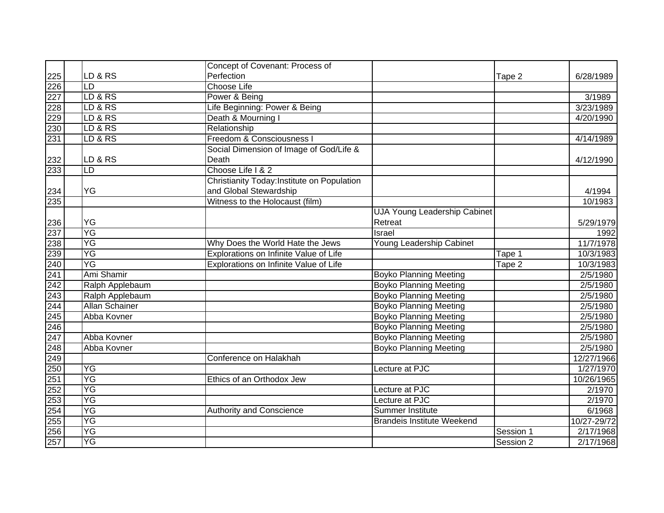|                                 |                       | Concept of Covenant: Process of             |                                     |           |             |
|---------------------------------|-----------------------|---------------------------------------------|-------------------------------------|-----------|-------------|
|                                 | LD & RS               | Perfection                                  |                                     | Tape 2    | 6/28/1989   |
|                                 | LD                    | <b>Choose Life</b>                          |                                     |           |             |
| 225<br>226<br>227<br>228<br>229 | LD & RS               | Power & Being                               |                                     |           | 3/1989      |
|                                 | LD & RS               | Life Beginning: Power & Being               |                                     |           | 3/23/1989   |
|                                 | LD & RS               | Death & Mourning I                          |                                     |           | 4/20/1990   |
| 230                             | LD & RS               | Relationship                                |                                     |           |             |
| 231                             | LD & RS               | Freedom & Consciousness I                   |                                     |           | 4/14/1989   |
|                                 |                       | Social Dimension of Image of God/Life &     |                                     |           |             |
| 232                             | LD & RS               | Death                                       |                                     |           | 4/12/1990   |
| 233                             | LD                    | Choose Life I & 2                           |                                     |           |             |
|                                 |                       | Christianity Today: Institute on Population |                                     |           |             |
| 234                             | YG                    | and Global Stewardship                      |                                     |           | 4/1994      |
| 235                             |                       | Witness to the Holocaust (film)             |                                     |           | 10/1983     |
|                                 |                       |                                             | <b>UJA Young Leadership Cabinet</b> |           |             |
|                                 | YG                    |                                             | Retreat                             |           | 5/29/1979   |
| $\frac{236}{237}$               | YG                    |                                             | Israel                              |           | 1992        |
| 238                             | YG                    | Why Does the World Hate the Jews            | Young Leadership Cabinet            |           | 11/7/1978   |
| 239                             | YG                    | Explorations on Infinite Value of Life      |                                     | Tape 1    | 10/3/1983   |
| 240                             | YG                    | Explorations on Infinite Value of Life      |                                     | Tape 2    | 10/3/1983   |
| 241                             | Ami Shamir            |                                             | <b>Boyko Planning Meeting</b>       |           | 2/5/1980    |
| 242                             | Ralph Applebaum       |                                             | <b>Boyko Planning Meeting</b>       |           | 2/5/1980    |
| 243                             | Ralph Applebaum       |                                             | <b>Boyko Planning Meeting</b>       |           | 2/5/1980    |
| 244                             | <b>Allan Schainer</b> |                                             | <b>Boyko Planning Meeting</b>       |           | 2/5/1980    |
| 245                             | Abba Kovner           |                                             | <b>Boyko Planning Meeting</b>       |           | 2/5/1980    |
| $\frac{246}{247}$               |                       |                                             | <b>Boyko Planning Meeting</b>       |           | 2/5/1980    |
|                                 | Abba Kovner           |                                             | <b>Boyko Planning Meeting</b>       |           | 2/5/1980    |
| 248                             | Abba Kovner           |                                             | <b>Boyko Planning Meeting</b>       |           | 2/5/1980    |
| 249                             |                       | Conference on Halakhah                      |                                     |           | 12/27/1966  |
| 250                             | YG                    |                                             | Lecture at PJC                      |           | 1/27/1970   |
| 251                             | YG                    | Ethics of an Orthodox Jew                   |                                     |           | 10/26/1965  |
| 252                             | YG                    |                                             | Lecture at PJC                      |           | 2/1970      |
| 253                             | YG                    |                                             | Lecture at PJC                      |           | 2/1970      |
| 254                             | YG                    | <b>Authority and Conscience</b>             | <b>Summer Institute</b>             |           | 6/1968      |
| $\frac{255}{256}$<br>256<br>257 | YG                    |                                             | <b>Brandeis Institute Weekend</b>   |           | 10/27-29/72 |
|                                 | YG                    |                                             |                                     | Session 1 | 2/17/1968   |
|                                 | YG                    |                                             |                                     | Session 2 | 2/17/1968   |